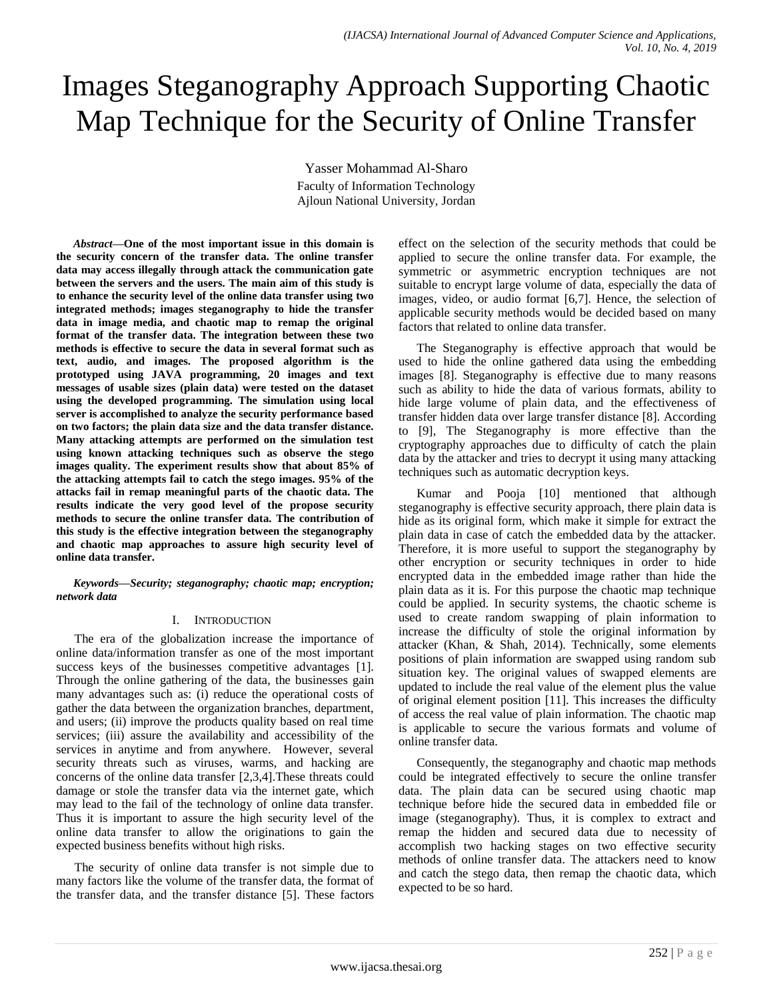# Images Steganography Approach Supporting Chaotic Map Technique for the Security of Online Transfer

Yasser Mohammad Al-Sharo Faculty of Information Technology Ajloun National University, Jordan

*Abstract***—One of the most important issue in this domain is the security concern of the transfer data. The online transfer data may access illegally through attack the communication gate between the servers and the users. The main aim of this study is to enhance the security level of the online data transfer using two integrated methods; images steganography to hide the transfer data in image media, and chaotic map to remap the original format of the transfer data. The integration between these two methods is effective to secure the data in several format such as text, audio, and images. The proposed algorithm is the prototyped using JAVA programming, 20 images and text messages of usable sizes (plain data) were tested on the dataset using the developed programming. The simulation using local server is accomplished to analyze the security performance based on two factors; the plain data size and the data transfer distance. Many attacking attempts are performed on the simulation test using known attacking techniques such as observe the stego images quality. The experiment results show that about 85% of the attacking attempts fail to catch the stego images. 95% of the attacks fail in remap meaningful parts of the chaotic data. The results indicate the very good level of the propose security methods to secure the online transfer data. The contribution of this study is the effective integration between the steganography and chaotic map approaches to assure high security level of online data transfer.**

*Keywords—Security; steganography; chaotic map; encryption; network data*

# I. INTRODUCTION

The era of the globalization increase the importance of online data/information transfer as one of the most important success keys of the businesses competitive advantages [1]. Through the online gathering of the data, the businesses gain many advantages such as: (i) reduce the operational costs of gather the data between the organization branches, department, and users; (ii) improve the products quality based on real time services; (iii) assure the availability and accessibility of the services in anytime and from anywhere. However, several security threats such as viruses, warms, and hacking are concerns of the online data transfer [2,3,4].These threats could damage or stole the transfer data via the internet gate, which may lead to the fail of the technology of online data transfer. Thus it is important to assure the high security level of the online data transfer to allow the originations to gain the expected business benefits without high risks.

The security of online data transfer is not simple due to many factors like the volume of the transfer data, the format of the transfer data, and the transfer distance [5]. These factors effect on the selection of the security methods that could be applied to secure the online transfer data. For example, the symmetric or asymmetric encryption techniques are not suitable to encrypt large volume of data, especially the data of images, video, or audio format [6,7]. Hence, the selection of applicable security methods would be decided based on many factors that related to online data transfer.

The Steganography is effective approach that would be used to hide the online gathered data using the embedding images [8]. Steganography is effective due to many reasons such as ability to hide the data of various formats, ability to hide large volume of plain data, and the effectiveness of transfer hidden data over large transfer distance [8]. According to [9], The Steganography is more effective than the cryptography approaches due to difficulty of catch the plain data by the attacker and tries to decrypt it using many attacking techniques such as automatic decryption keys.

Kumar and Pooja [10] mentioned that although steganography is effective security approach, there plain data is hide as its original form, which make it simple for extract the plain data in case of catch the embedded data by the attacker. Therefore, it is more useful to support the steganography by other encryption or security techniques in order to hide encrypted data in the embedded image rather than hide the plain data as it is. For this purpose the chaotic map technique could be applied. In security systems, the chaotic scheme is used to create random swapping of plain information to increase the difficulty of stole the original information by attacker (Khan, & Shah, 2014). Technically, some elements positions of plain information are swapped using random sub situation key. The original values of swapped elements are updated to include the real value of the element plus the value of original element position [11]. This increases the difficulty of access the real value of plain information. The chaotic map is applicable to secure the various formats and volume of online transfer data.

Consequently, the steganography and chaotic map methods could be integrated effectively to secure the online transfer data. The plain data can be secured using chaotic map technique before hide the secured data in embedded file or image (steganography). Thus, it is complex to extract and remap the hidden and secured data due to necessity of accomplish two hacking stages on two effective security methods of online transfer data. The attackers need to know and catch the stego data, then remap the chaotic data, which expected to be so hard.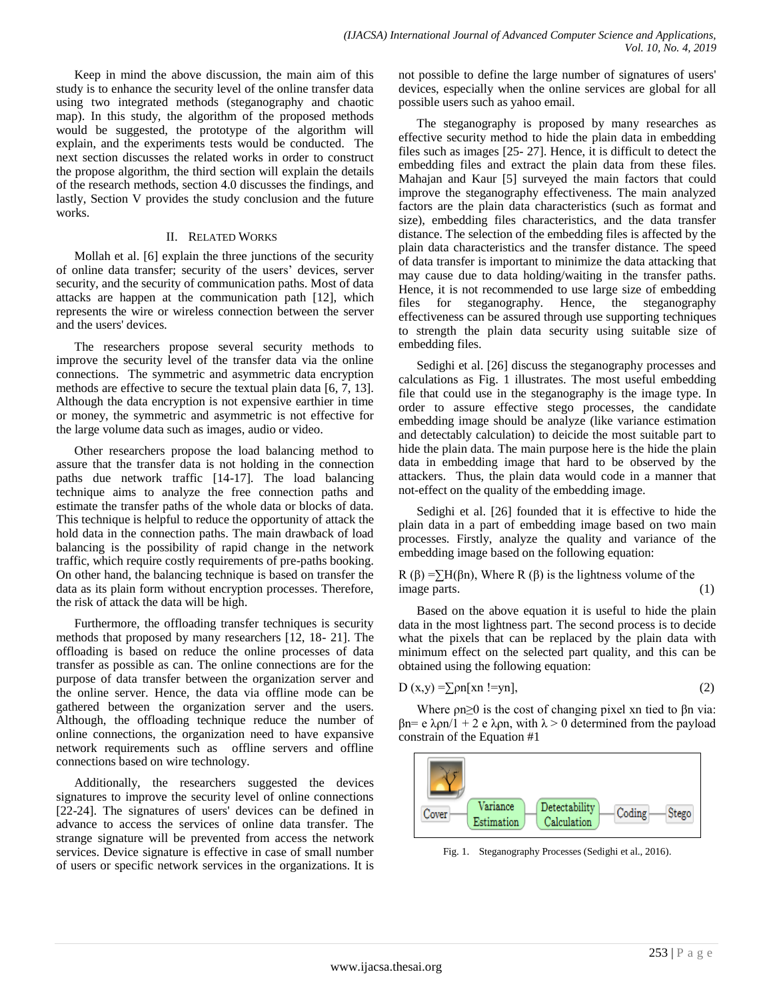Keep in mind the above discussion, the main aim of this study is to enhance the security level of the online transfer data using two integrated methods (steganography and chaotic map). In this study, the algorithm of the proposed methods would be suggested, the prototype of the algorithm will explain, and the experiments tests would be conducted. The next section discusses the related works in order to construct the propose algorithm, the third section will explain the details of the research methods, section 4.0 discusses the findings, and lastly, Section V provides the study conclusion and the future works.

# II. RELATED WORKS

Mollah et al. [6] explain the three junctions of the security of online data transfer; security of the users' devices, server security, and the security of communication paths. Most of data attacks are happen at the communication path [12], which represents the wire or wireless connection between the server and the users' devices.

The researchers propose several security methods to improve the security level of the transfer data via the online connections. The symmetric and asymmetric data encryption methods are effective to secure the textual plain data [6, 7, 13]. Although the data encryption is not expensive earthier in time or money, the symmetric and asymmetric is not effective for the large volume data such as images, audio or video.

Other researchers propose the load balancing method to assure that the transfer data is not holding in the connection paths due network traffic [14-17]. The load balancing technique aims to analyze the free connection paths and estimate the transfer paths of the whole data or blocks of data. This technique is helpful to reduce the opportunity of attack the hold data in the connection paths. The main drawback of load balancing is the possibility of rapid change in the network traffic, which require costly requirements of pre-paths booking. On other hand, the balancing technique is based on transfer the data as its plain form without encryption processes. Therefore, the risk of attack the data will be high.

Furthermore, the offloading transfer techniques is security methods that proposed by many researchers [12, 18- 21]. The offloading is based on reduce the online processes of data transfer as possible as can. The online connections are for the purpose of data transfer between the organization server and the online server. Hence, the data via offline mode can be gathered between the organization server and the users. Although, the offloading technique reduce the number of online connections, the organization need to have expansive network requirements such as offline servers and offline connections based on wire technology.

Additionally, the researchers suggested the devices signatures to improve the security level of online connections [22-24]. The signatures of users' devices can be defined in advance to access the services of online data transfer. The strange signature will be prevented from access the network services. Device signature is effective in case of small number of users or specific network services in the organizations. It is not possible to define the large number of signatures of users' devices, especially when the online services are global for all possible users such as yahoo email.

The steganography is proposed by many researches as effective security method to hide the plain data in embedding files such as images [25- 27]. Hence, it is difficult to detect the embedding files and extract the plain data from these files. Mahajan and Kaur [5] surveyed the main factors that could improve the steganography effectiveness. The main analyzed factors are the plain data characteristics (such as format and size), embedding files characteristics, and the data transfer distance. The selection of the embedding files is affected by the plain data characteristics and the transfer distance. The speed of data transfer is important to minimize the data attacking that may cause due to data holding/waiting in the transfer paths. Hence, it is not recommended to use large size of embedding files for steganography. Hence, the steganography effectiveness can be assured through use supporting techniques to strength the plain data security using suitable size of embedding files.

Sedighi et al. [26] discuss the steganography processes and calculations as Fig. 1 illustrates. The most useful embedding file that could use in the steganography is the image type. In order to assure effective stego processes, the candidate embedding image should be analyze (like variance estimation and detectably calculation) to deicide the most suitable part to hide the plain data. The main purpose here is the hide the plain data in embedding image that hard to be observed by the attackers. Thus, the plain data would code in a manner that not-effect on the quality of the embedding image.

Sedighi et al. [26] founded that it is effective to hide the plain data in a part of embedding image based on two main processes. Firstly, analyze the quality and variance of the embedding image based on the following equation:

R (β) =  $\sum H(\beta n)$ , Where R (β) is the lightness volume of the image parts. (1)

Based on the above equation it is useful to hide the plain data in the most lightness part. The second process is to decide what the pixels that can be replaced by the plain data with minimum effect on the selected part quality, and this can be obtained using the following equation:

$$
D(x,y) = \sum \rho n[xn ! = yn],
$$
 (2)

Where  $\rho n \geq 0$  is the cost of changing pixel xn tied to  $\beta n$  via: βn= e λρn/1 + 2 e λρn, with λ > 0 determined from the payload constrain of the Equation #1



Fig. 1. Steganography Processes (Sedighi et al., 2016).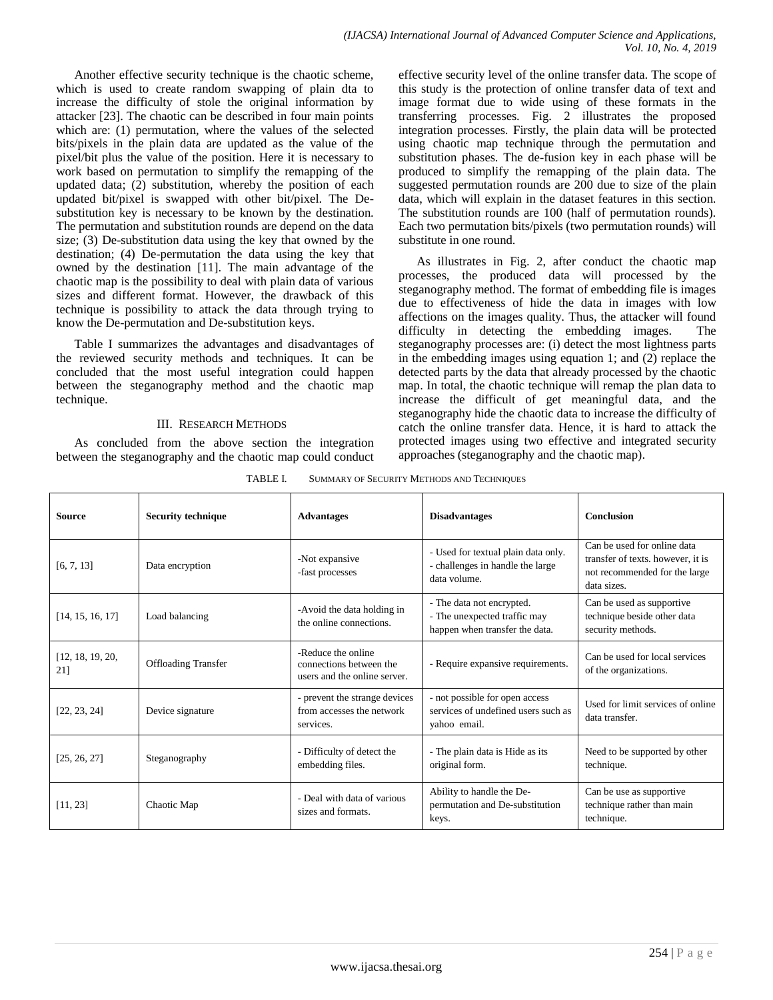Another effective security technique is the chaotic scheme, which is used to create random swapping of plain dta to increase the difficulty of stole the original information by attacker [23]. The chaotic can be described in four main points which are: (1) permutation, where the values of the selected bits/pixels in the plain data are updated as the value of the pixel/bit plus the value of the position. Here it is necessary to work based on permutation to simplify the remapping of the updated data; (2) substitution, whereby the position of each updated bit/pixel is swapped with other bit/pixel. The Desubstitution key is necessary to be known by the destination. The permutation and substitution rounds are depend on the data size; (3) De-substitution data using the key that owned by the destination; (4) De-permutation the data using the key that owned by the destination [11]. The main advantage of the chaotic map is the possibility to deal with plain data of various sizes and different format. However, the drawback of this technique is possibility to attack the data through trying to know the De-permutation and De-substitution keys.

Table I summarizes the advantages and disadvantages of the reviewed security methods and techniques. It can be concluded that the most useful integration could happen between the steganography method and the chaotic map technique.

# III. RESEARCH METHODS

As concluded from the above section the integration between the steganography and the chaotic map could conduct effective security level of the online transfer data. The scope of this study is the protection of online transfer data of text and image format due to wide using of these formats in the transferring processes. Fig. 2 illustrates the proposed integration processes. Firstly, the plain data will be protected using chaotic map technique through the permutation and substitution phases. The de-fusion key in each phase will be produced to simplify the remapping of the plain data. The suggested permutation rounds are 200 due to size of the plain data, which will explain in the dataset features in this section. The substitution rounds are 100 (half of permutation rounds). Each two permutation bits/pixels (two permutation rounds) will substitute in one round.

As illustrates in Fig. 2, after conduct the chaotic map processes, the produced data will processed by the steganography method. The format of embedding file is images due to effectiveness of hide the data in images with low affections on the images quality. Thus, the attacker will found difficulty in detecting the embedding images. The steganography processes are: (i) detect the most lightness parts in the embedding images using equation 1; and (2) replace the detected parts by the data that already processed by the chaotic map. In total, the chaotic technique will remap the plan data to increase the difficult of get meaningful data, and the steganography hide the chaotic data to increase the difficulty of catch the online transfer data. Hence, it is hard to attack the protected images using two effective and integrated security approaches (steganography and the chaotic map).

| TABLE I. | SUMMARY OF SECURITY METHODS AND TECHNIQUES |
|----------|--------------------------------------------|
|          |                                            |

| <b>Source</b>           | <b>Security technique</b>  | <b>Advantages</b>                                                             | <b>Disadvantages</b>                                                                        | Conclusion                                                                                                       |
|-------------------------|----------------------------|-------------------------------------------------------------------------------|---------------------------------------------------------------------------------------------|------------------------------------------------------------------------------------------------------------------|
| [6, 7, 13]              | Data encryption            | -Not expansive<br>-fast processes                                             | - Used for textual plain data only.<br>- challenges in handle the large<br>data volume.     | Can be used for online data<br>transfer of texts. however, it is<br>not recommended for the large<br>data sizes. |
| [14, 15, 16, 17]        | Load balancing             | -Avoid the data holding in<br>the online connections.                         | - The data not encrypted.<br>- The unexpected traffic may<br>happen when transfer the data. | Can be used as supportive<br>technique beside other data<br>security methods.                                    |
| [12, 18, 19, 20,<br>211 | <b>Offloading Transfer</b> | -Reduce the online<br>connections between the<br>users and the online server. | - Require expansive requirements.                                                           | Can be used for local services<br>of the organizations.                                                          |
| [22, 23, 24]            | Device signature           | - prevent the strange devices<br>from accesses the network<br>services.       | - not possible for open access<br>services of undefined users such as<br>vahoo email.       | Used for limit services of online<br>data transfer.                                                              |
| [25, 26, 27]            | Steganography              | - Difficulty of detect the<br>embedding files.                                | - The plain data is Hide as its<br>original form.                                           | Need to be supported by other<br>technique.                                                                      |
| [11, 23]                | Chaotic Map                | - Deal with data of various<br>sizes and formats.                             | Ability to handle the De-<br>permutation and De-substitution<br>keys.                       | Can be use as supportive<br>technique rather than main<br>technique.                                             |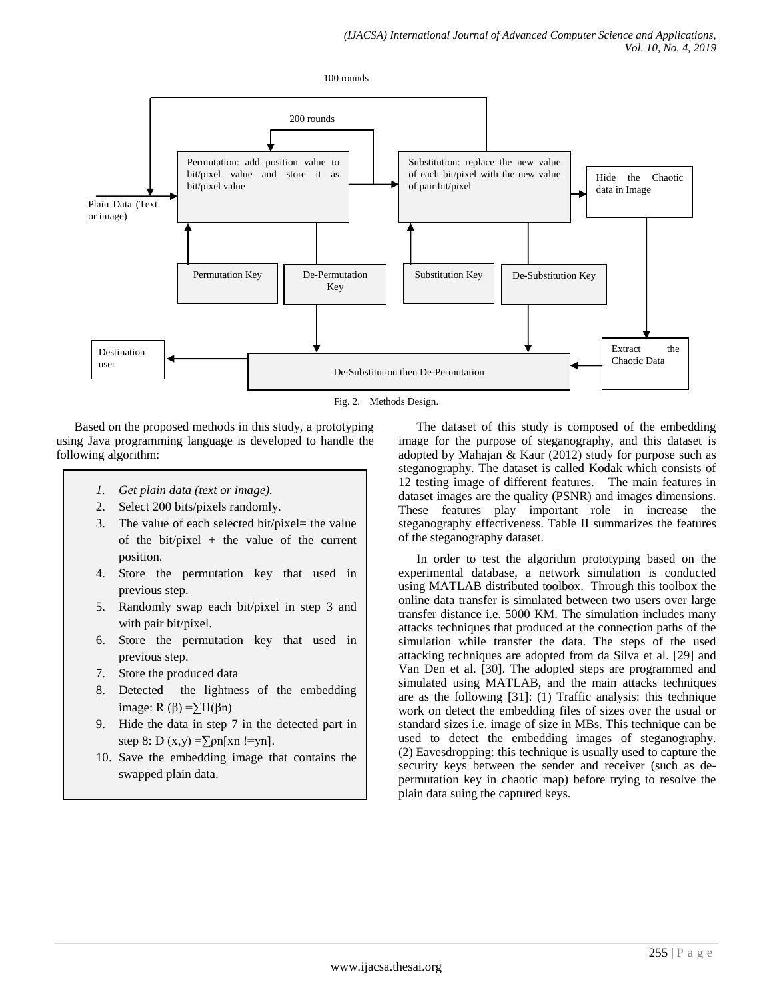100 rounds



Fig. 2. Methods Design.

Based on the proposed methods in this study, a prototyping using Java programming language is developed to handle the following algorithm:

- *1. Get plain data (text or image).*
- 2. Select 200 bits/pixels randomly.
- 3. The value of each selected bit/pixel= the value of the bit/pixel + the value of the current position.
- 4. Store the permutation key that used in previous step.
- 5. Randomly swap each bit/pixel in step 3 and with pair bit/pixel.
- 6. Store the permutation key that used in previous step.
- 7. Store the produced data
- 8. Detected the lightness of the embedding image: R (β) =  $\sum H(\beta n)$
- 9. Hide the data in step 7 in the detected part in step 8: D  $(x,y) = \sum \rho n[xn := yn].$
- 10. Save the embedding image that contains the swapped plain data.

The dataset of this study is composed of the embedding image for the purpose of steganography, and this dataset is adopted by Mahajan & Kaur (2012) study for purpose such as steganography. The dataset is called Kodak which consists of 12 testing image of different features. The main features in dataset images are the quality (PSNR) and images dimensions. These features play important role in increase the steganography effectiveness. Table II summarizes the features of the steganography dataset.

In order to test the algorithm prototyping based on the experimental database, a network simulation is conducted using MATLAB distributed toolbox. Through this toolbox the online data transfer is simulated between two users over large transfer distance i.e. 5000 KM. The simulation includes many attacks techniques that produced at the connection paths of the simulation while transfer the data. The steps of the used attacking techniques are adopted from da Silva et al. [29] and Van Den et al. [30]. The adopted steps are programmed and simulated using MATLAB, and the main attacks techniques are as the following [31]: (1) Traffic analysis: this technique work on detect the embedding files of sizes over the usual or standard sizes i.e. image of size in MBs. This technique can be used to detect the embedding images of steganography. (2) Eavesdropping: this technique is usually used to capture the security keys between the sender and receiver (such as depermutation key in chaotic map) before trying to resolve the plain data suing the captured keys.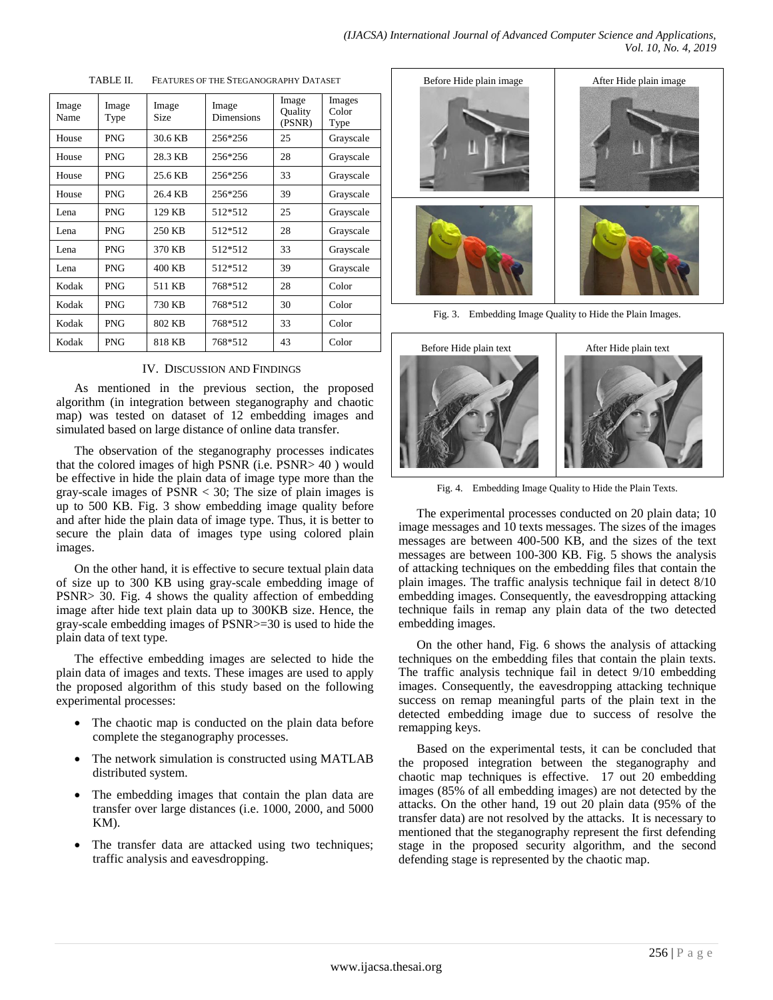| Image<br>Name | Image<br>Type | Image<br><b>Size</b> | Image<br><b>Dimensions</b> | Image<br><b>Ouality</b><br>(PSNR) | Images<br>Color<br>Type |
|---------------|---------------|----------------------|----------------------------|-----------------------------------|-------------------------|
| House         | <b>PNG</b>    | 30.6 KB              | 256*256                    | 25                                | Grayscale               |
| House         | <b>PNG</b>    | 28.3 KB              | 256*256                    | 28                                | Grayscale               |
| House         | <b>PNG</b>    | 25.6 KB              | 256*256                    | 33                                | Grayscale               |
| House         | <b>PNG</b>    | 26.4 KB              | 256*256                    | 39                                | Grayscale               |
| Lena          | <b>PNG</b>    | 129 KB               | 512*512                    | 25                                | Grayscale               |
| Lena          | <b>PNG</b>    | 250 KB               | 512*512                    | 28                                | Grayscale               |
| Lena          | <b>PNG</b>    | 370 KB               | 512*512                    | 33                                | Grayscale               |
| Lena          | <b>PNG</b>    | 400 KB               | 512*512                    | 39                                | Grayscale               |
| Kodak         | <b>PNG</b>    | 511 KB               | 768*512                    | 28                                | Color                   |
| Kodak         | <b>PNG</b>    | 730 KB               | 768*512                    | 30                                | Color                   |
| Kodak         | <b>PNG</b>    | 802 KB               | 768*512                    | 33                                | Color                   |
| Kodak         | <b>PNG</b>    | 818 KB               | 768*512                    | 43                                | Color                   |

TABLE II. FEATURES OF THE STEGANOGRAPHY DATASET

## IV. DISCUSSION AND FINDINGS

As mentioned in the previous section, the proposed algorithm (in integration between steganography and chaotic map) was tested on dataset of 12 embedding images and simulated based on large distance of online data transfer.

The observation of the steganography processes indicates that the colored images of high PSNR (i.e. PSNR> 40 ) would be effective in hide the plain data of image type more than the gray-scale images of  $PSNR < 30$ ; The size of plain images is up to 500 KB. Fig. 3 show embedding image quality before and after hide the plain data of image type. Thus, it is better to secure the plain data of images type using colored plain images.

On the other hand, it is effective to secure textual plain data of size up to 300 KB using gray-scale embedding image of PSNR> 30. Fig. 4 shows the quality affection of embedding image after hide text plain data up to 300KB size. Hence, the gray-scale embedding images of PSNR>=30 is used to hide the plain data of text type.

The effective embedding images are selected to hide the plain data of images and texts. These images are used to apply the proposed algorithm of this study based on the following experimental processes:

- The chaotic map is conducted on the plain data before complete the steganography processes.
- The network simulation is constructed using MATLAB distributed system.
- The embedding images that contain the plan data are transfer over large distances (i.e. 1000, 2000, and 5000 KM).
- The transfer data are attacked using two techniques; traffic analysis and eavesdropping.



Fig. 3. Embedding Image Quality to Hide the Plain Images.



Fig. 4. Embedding Image Quality to Hide the Plain Texts.

The experimental processes conducted on 20 plain data; 10 image messages and 10 texts messages. The sizes of the images messages are between 400-500 KB, and the sizes of the text messages are between 100-300 KB. Fig. 5 shows the analysis of attacking techniques on the embedding files that contain the plain images. The traffic analysis technique fail in detect 8/10 embedding images. Consequently, the eavesdropping attacking technique fails in remap any plain data of the two detected embedding images.

On the other hand, Fig. 6 shows the analysis of attacking techniques on the embedding files that contain the plain texts. The traffic analysis technique fail in detect 9/10 embedding images. Consequently, the eavesdropping attacking technique success on remap meaningful parts of the plain text in the detected embedding image due to success of resolve the remapping keys.

Based on the experimental tests, it can be concluded that the proposed integration between the steganography and chaotic map techniques is effective. 17 out 20 embedding images (85% of all embedding images) are not detected by the attacks. On the other hand, 19 out 20 plain data (95% of the transfer data) are not resolved by the attacks. It is necessary to mentioned that the steganography represent the first defending stage in the proposed security algorithm, and the second defending stage is represented by the chaotic map.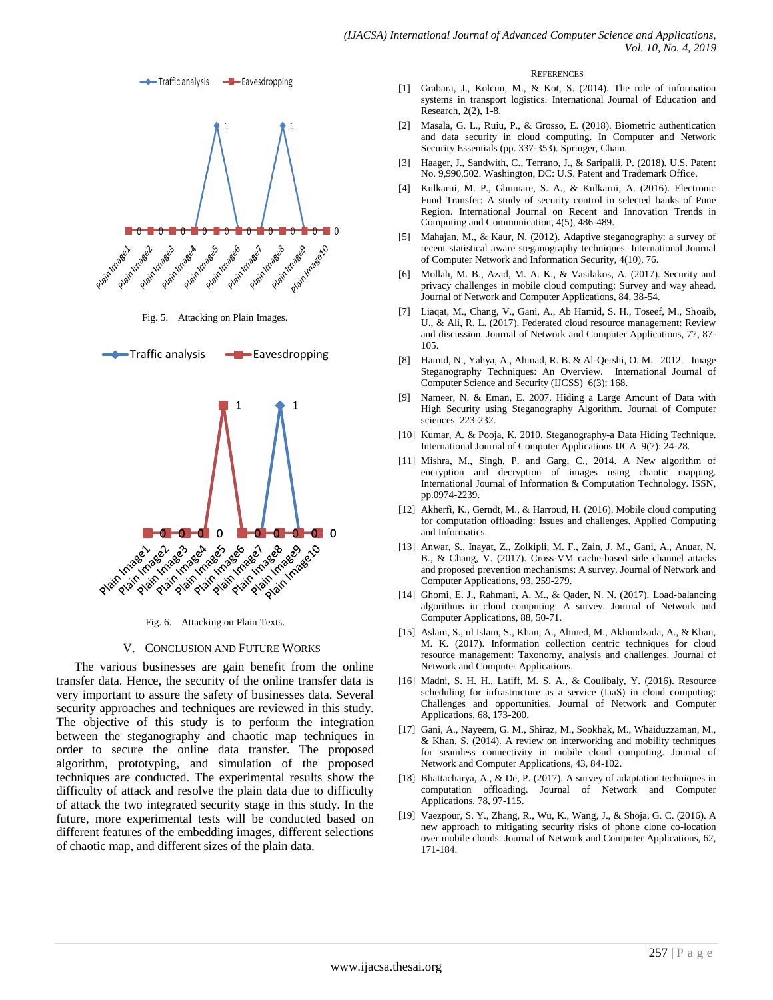



Fig. 5. Attacking on Plain Images.



Fig. 6. Attacking on Plain Texts.

### V. CONCLUSION AND FUTURE WORKS

The various businesses are gain benefit from the online transfer data. Hence, the security of the online transfer data is very important to assure the safety of businesses data. Several security approaches and techniques are reviewed in this study. The objective of this study is to perform the integration between the steganography and chaotic map techniques in order to secure the online data transfer. The proposed algorithm, prototyping, and simulation of the proposed techniques are conducted. The experimental results show the difficulty of attack and resolve the plain data due to difficulty of attack the two integrated security stage in this study. In the future, more experimental tests will be conducted based on different features of the embedding images, different selections of chaotic map, and different sizes of the plain data.

#### **REFERENCES**

- [1] Grabara, J., Kolcun, M., & Kot, S. (2014). The role of information systems in transport logistics. International Journal of Education and Research, 2(2), 1-8.
- [2] Masala, G. L., Ruiu, P., & Grosso, E. (2018). Biometric authentication and data security in cloud computing. In Computer and Network Security Essentials (pp. 337-353). Springer, Cham.
- [3] Haager, J., Sandwith, C., Terrano, J., & Saripalli, P. (2018). U.S. Patent No. 9,990,502. Washington, DC: U.S. Patent and Trademark Office.
- [4] Kulkarni, M. P., Ghumare, S. A., & Kulkarni, A. (2016). Electronic Fund Transfer: A study of security control in selected banks of Pune Region. International Journal on Recent and Innovation Trends in Computing and Communication, 4(5), 486-489.
- [5] Mahajan, M., & Kaur, N. (2012). Adaptive steganography: a survey of recent statistical aware steganography techniques. International Journal of Computer Network and Information Security, 4(10), 76.
- [6] Mollah, M. B., Azad, M. A. K., & Vasilakos, A. (2017). Security and privacy challenges in mobile cloud computing: Survey and way ahead. Journal of Network and Computer Applications, 84, 38-54.
- [7] Liaqat, M., Chang, V., Gani, A., Ab Hamid, S. H., Toseef, M., Shoaib, U., & Ali, R. L. (2017). Federated cloud resource management: Review and discussion. Journal of Network and Computer Applications, 77, 87- 105.
- [8] Hamid, N., Yahya, A., Ahmad, R. B. & Al-Qershi, O. M. 2012. Image Steganography Techniques: An Overview. International Journal of Computer Science and Security (IJCSS) 6(3): 168.
- [9] Nameer, N. & Eman, E. 2007. Hiding a Large Amount of Data with High Security using Steganography Algorithm. Journal of Computer sciences 223-232.
- [10] Kumar, A. & Pooja, K. 2010. Steganography-a Data Hiding Technique. International Journal of Computer Applications IJCA 9(7): 24-28.
- [11] Mishra, M., Singh, P. and Garg, C., 2014. A New algorithm of encryption and decryption of images using chaotic mapping. International Journal of Information & Computation Technology. ISSN, pp.0974-2239.
- [12] Akherfi, K., Gerndt, M., & Harroud, H. (2016). Mobile cloud computing for computation offloading: Issues and challenges. Applied Computing and Informatics.
- [13] Anwar, S., Inayat, Z., Zolkipli, M. F., Zain, J. M., Gani, A., Anuar, N. B., & Chang, V. (2017). Cross-VM cache-based side channel attacks and proposed prevention mechanisms: A survey. Journal of Network and Computer Applications, 93, 259-279.
- [14] Ghomi, E. J., Rahmani, A. M., & Qader, N. N. (2017). Load-balancing algorithms in cloud computing: A survey. Journal of Network and Computer Applications, 88, 50-71.
- [15] Aslam, S., ul Islam, S., Khan, A., Ahmed, M., Akhundzada, A., & Khan, M. K. (2017). Information collection centric techniques for cloud resource management: Taxonomy, analysis and challenges. Journal of Network and Computer Applications.
- [16] Madni, S. H. H., Latiff, M. S. A., & Coulibaly, Y. (2016). Resource scheduling for infrastructure as a service (IaaS) in cloud computing: Challenges and opportunities. Journal of Network and Computer Applications, 68, 173-200.
- [17] Gani, A., Nayeem, G. M., Shiraz, M., Sookhak, M., Whaiduzzaman, M., & Khan, S. (2014). A review on interworking and mobility techniques for seamless connectivity in mobile cloud computing. Journal of Network and Computer Applications, 43, 84-102.
- [18] Bhattacharya, A., & De, P. (2017). A survey of adaptation techniques in computation offloading. Journal of Network and Computer Applications, 78, 97-115.
- [19] Vaezpour, S. Y., Zhang, R., Wu, K., Wang, J., & Shoja, G. C. (2016). A new approach to mitigating security risks of phone clone co-location over mobile clouds. Journal of Network and Computer Applications, 62, 171-184.